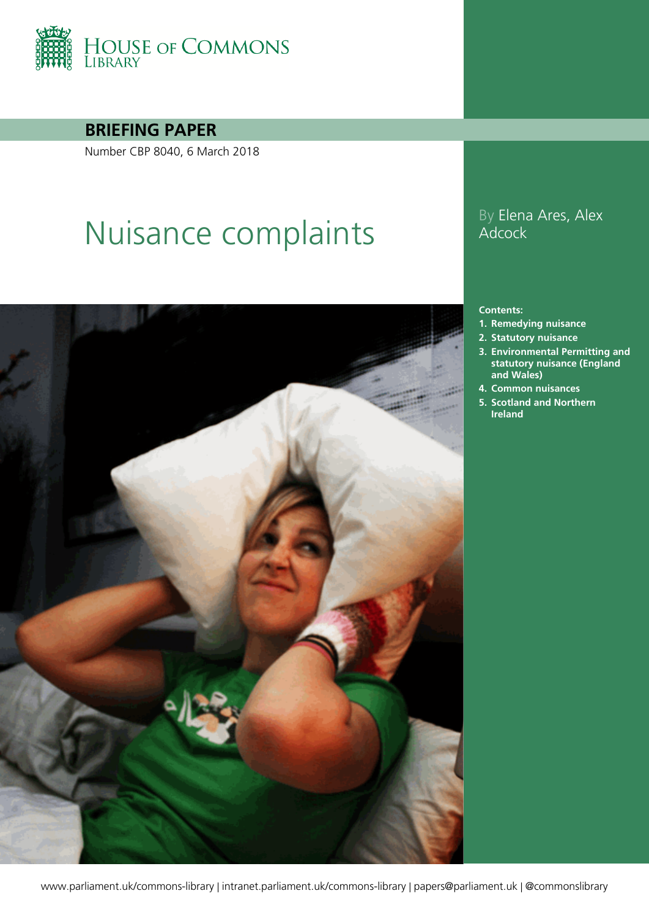

**BRIEFING PAPER**

Number CBP 8040, 6 March 2018

# Nuisance complaints<br>Adcock<br>Adcock



# **Adcock**

#### **Contents:**

- **1. [Remedying nuisance](#page-3-0)**
- **2. [Statutory nuisance](#page-4-0)**
- **3. [Environmental Permitting and](#page-9-0)  [statutory nuisance \(England](#page-9-0)  [and Wales\)](#page-9-0)**
- **4. [Common nuisances](#page-10-0)**
- **5. [Scotland and Northern](#page-15-0)  [Ireland](#page-15-0)**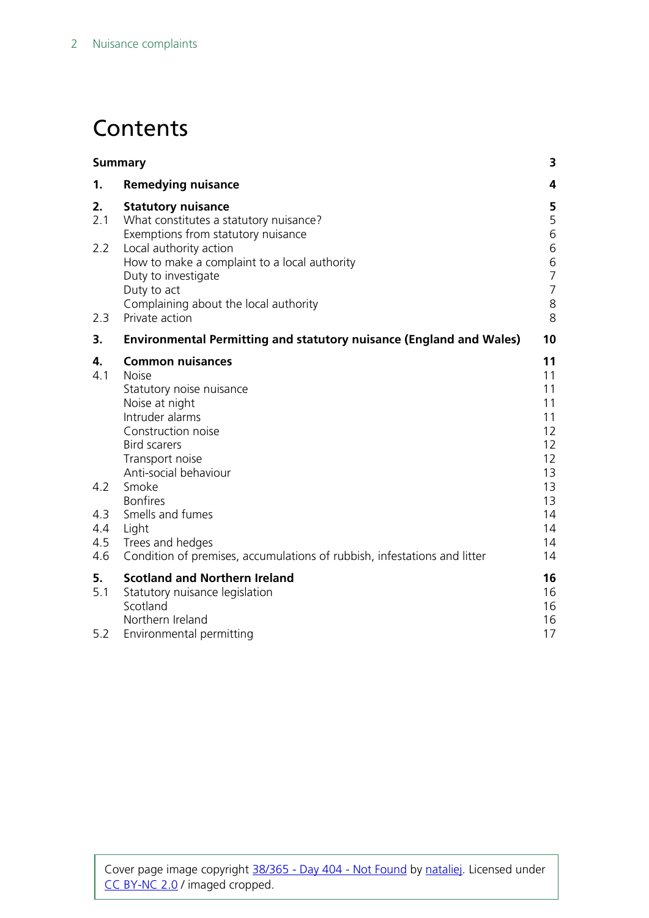# **Contents**

| <b>Summary</b>                  |                                                                                                                                                                                                   | 3                                                    |
|---------------------------------|---------------------------------------------------------------------------------------------------------------------------------------------------------------------------------------------------|------------------------------------------------------|
| 1.                              | <b>Remedying nuisance</b>                                                                                                                                                                         | 4                                                    |
| 2.<br>2.1                       | <b>Statutory nuisance</b><br>What constitutes a statutory nuisance?<br>Exemptions from statutory nuisance                                                                                         | 5<br>5<br>6                                          |
| 2.2                             | Local authority action<br>How to make a complaint to a local authority<br>Duty to investigate<br>Duty to act                                                                                      | 6<br>$\,$ 6 $\,$<br>$\overline{7}$<br>$\overline{7}$ |
| 2.3                             | Complaining about the local authority<br>Private action                                                                                                                                           | 8<br>8                                               |
| 3.                              | <b>Environmental Permitting and statutory nuisance (England and Wales)</b>                                                                                                                        | 10                                                   |
| 4.<br>4.1                       | <b>Common nuisances</b><br><b>Noise</b><br>Statutory noise nuisance<br>Noise at night<br>Intruder alarms<br>Construction noise<br><b>Bird scarers</b><br>Transport noise<br>Anti-social behaviour | 11<br>11<br>11<br>11<br>11<br>12<br>12<br>12<br>13   |
| 4.2<br>4.3<br>4.4<br>4.5<br>4.6 | Smoke<br><b>Bonfires</b><br>Smells and fumes<br>Light<br>Trees and hedges<br>Condition of premises, accumulations of rubbish, infestations and litter                                             | 13<br>13<br>14<br>14<br>14<br>14                     |
| 5.<br>5.1<br>5.2                | <b>Scotland and Northern Ireland</b><br>Statutory nuisance legislation<br>Scotland<br>Northern Ireland<br>Environmental permitting                                                                | 16<br>16<br>16<br>16<br>17                           |
|                                 |                                                                                                                                                                                                   |                                                      |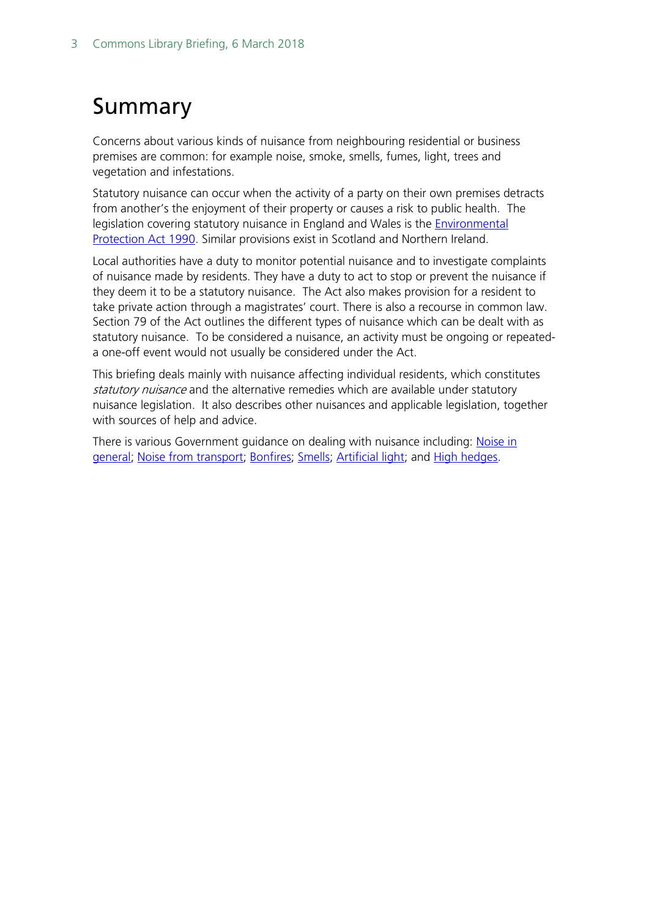# <span id="page-2-0"></span>Summary

Concerns about various kinds of nuisance from neighbouring residential or business premises are common: for example noise, smoke, smells, fumes, light, trees and vegetation and infestations.

Statutory nuisance can occur when the activity of a party on their own premises detracts from another's the enjoyment of their property or causes a risk to public health. The legislation covering statutory nuisance in England and Wales is the [Environmental](http://www.legislation.gov.uk/ukpga/1990/43)  [Protection Act 1990.](http://www.legislation.gov.uk/ukpga/1990/43) Similar provisions exist in Scotland and Northern Ireland.

Local authorities have a duty to monitor potential nuisance and to investigate complaints of nuisance made by residents. They have a duty to act to stop or prevent the nuisance if they deem it to be a statutory nuisance. The Act also makes provision for a resident to take private action through a magistrates' court. There is also a recourse in common law. Section 79 of the Act outlines the different types of nuisance which can be dealt with as statutory nuisance. To be considered a nuisance, an activity must be ongoing or repeateda one-off event would not usually be considered under the Act.

This briefing deals mainly with nuisance affecting individual residents, which constitutes statutory nuisance and the alternative remedies which are available under statutory nuisance legislation. It also describes other nuisances and applicable legislation, together with sources of help and advice.

There is various Government guidance on dealing with nuisance including: Noise in [general;](https://www.gov.uk/guidance/noise-nuisances-how-councils-deal-with-complaints) [Noise from transport;](https://www.gov.uk/noise-pollution-road-train-plane/railway-noise) [Bonfires;](https://www.gov.uk/garden-bonfires-rules) [Smells;](https://www.gov.uk/guidance/nuisance-smells-how-councils-deal-with-complaints) [Artificial light;](https://www.gov.uk/guidance/artificial-light-nuisances-how-councils-deal-with-complaints) and [High hedges.](https://www.gov.uk/how-to-resolve-neighbour-disputes/high-hedges-trees-and-boundaries)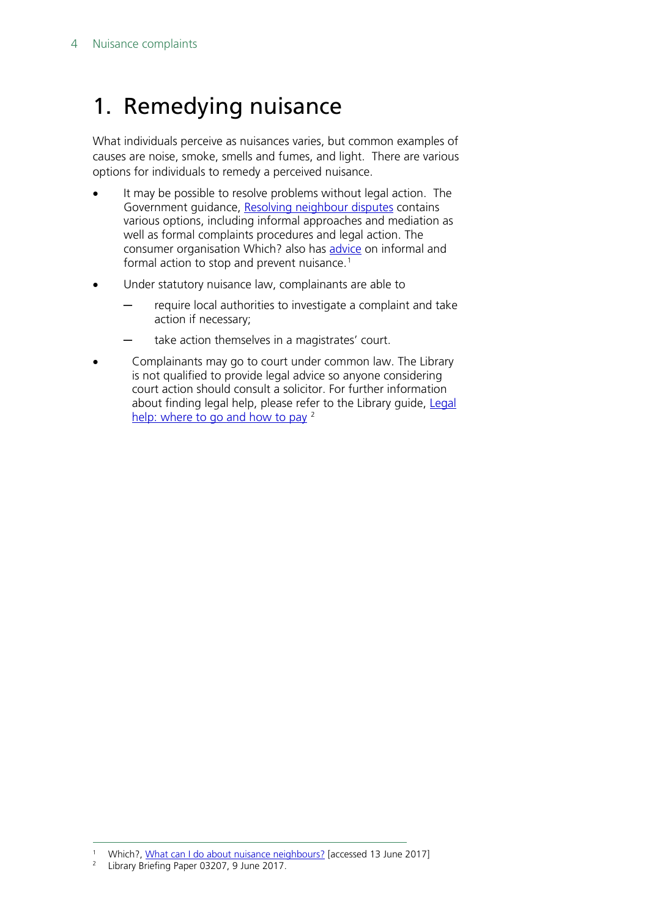# <span id="page-3-0"></span>1. Remedying nuisance

What individuals perceive as nuisances varies, but common examples of causes are noise, smoke, smells and fumes, and light. There are various options for individuals to remedy a perceived nuisance.

- It may be possible to resolve problems without legal action. The Government guidance, [Resolving neighbour disputes](https://www.gov.uk/how-to-resolve-neighbour-disputes/overview) contains various options, including informal approaches and mediation as well as formal complaints procedures and legal action. The consumer organisation Which? also has [advice](http://www.which.co.uk/consumer-rights/advice/what-can-i-do-about-nuisance-neighbours) on informal and formal action to stop and prevent nuisance.<sup>[1](#page-3-1)</sup>
- Under statutory nuisance law, complainants are able to
	- require local authorities to investigate a complaint and take action if necessary;
	- take action themselves in a magistrates' court.
- Complainants may go to court under common law. The Library is not qualified to provide legal advice so anyone considering court action should consult a solicitor. For further information about finding legal help, please refer to the Library guide, Legal [help: where to go and how to pay](http://researchbriefings.parliament.uk/ResearchBriefing/Summary/SN03207) <sup>[2](#page-3-2)</sup>

<span id="page-3-2"></span><span id="page-3-1"></span><sup>&</sup>lt;sup>1</sup> Which?, [What can I do about nuisance neighbours?](http://www.which.co.uk/consumer-rights/advice/what-can-i-do-about-nuisance-neighbours) [accessed 13 June 2017]

<sup>2</sup> Library Briefing Paper 03207, 9 June 2017.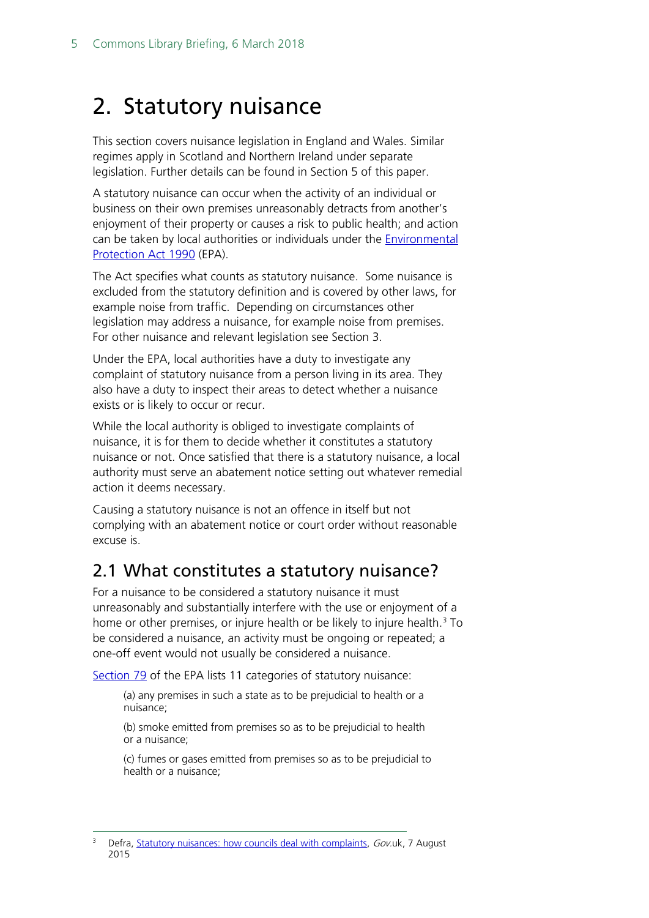# <span id="page-4-0"></span>2. Statutory nuisance

This section covers nuisance legislation in England and Wales. Similar regimes apply in Scotland and Northern Ireland under separate legislation. Further details can be found in Section 5 of this paper.

A statutory nuisance can occur when the activity of an individual or business on their own premises unreasonably detracts from another's enjoyment of their property or causes a risk to public health; and action can be taken by local authorities or individuals under the [Environmental](http://www.legislation.gov.uk/ukpga/1990/43)  [Protection Act 1990](http://www.legislation.gov.uk/ukpga/1990/43) (EPA).

The Act specifies what counts as statutory nuisance. Some nuisance is excluded from the statutory definition and is covered by other laws, for example noise from traffic. Depending on circumstances other legislation may address a nuisance, for example noise from premises. For other nuisance and relevant legislation see Section 3.

Under the EPA, local authorities have a duty to investigate any complaint of statutory nuisance from a person living in its area. They also have a duty to inspect their areas to detect whether a nuisance exists or is likely to occur or recur.

While the local authority is obliged to investigate complaints of nuisance, it is for them to decide whether it constitutes a statutory nuisance or not. Once satisfied that there is a statutory nuisance, a local authority must serve an abatement notice setting out whatever remedial action it deems necessary.

Causing a statutory nuisance is not an offence in itself but not complying with an abatement notice or court order without reasonable excuse is.

### <span id="page-4-1"></span>2.1 What constitutes a statutory nuisance?

For a nuisance to be considered a statutory nuisance it must unreasonably and substantially interfere with the use or enjoyment of a home or other premises, or injure health or be likely to injure health.<sup>3</sup> To be considered a nuisance, an activity must be ongoing or repeated; a one-off event would not usually be considered a nuisance.

[Section 79](http://www.legislation.gov.uk/ukpga/1990/43/section/79) of the EPA lists 11 categories of statutory nuisance:

(a) any premises in such a state as to be prejudicial to health or a nuisance;

(b) smoke emitted from premises so as to be prejudicial to health or a nuisance;

(c) fumes or gases emitted from premises so as to be prejudicial to health or a nuisance;

<span id="page-4-2"></span>Defra, [Statutory nuisances: how councils deal with complaints,](https://www.gov.uk/guidance/statutory-nuisances-how-councils-deal-with-complaints) Gov.uk, 7 August 2015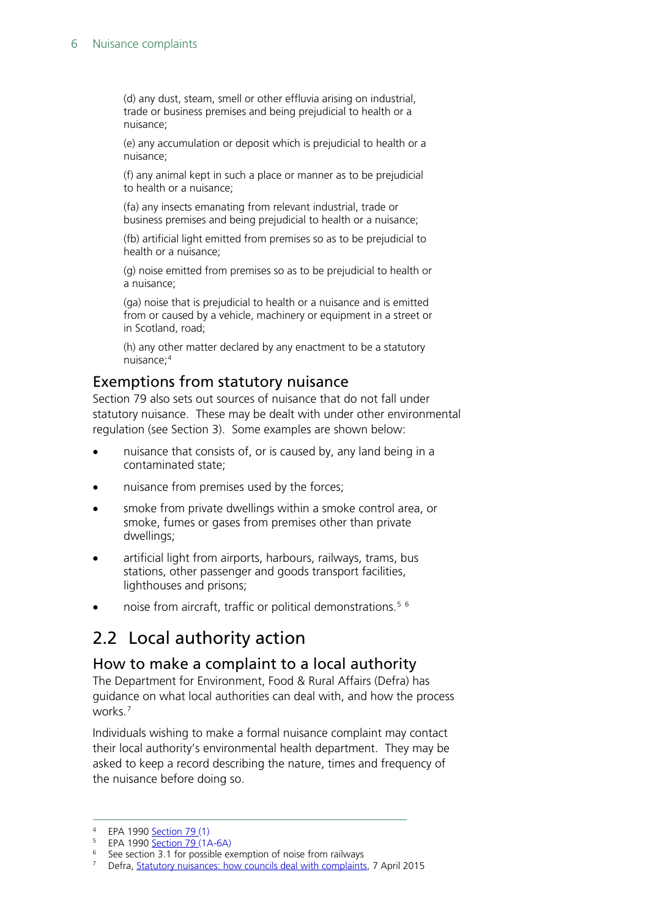(d) any dust, steam, smell or other effluvia arising on industrial, trade or business premises and being prejudicial to health or a nuisance;

(e) any accumulation or deposit which is prejudicial to health or a nuisance;

(f) any animal kept in such a place or manner as to be prejudicial to health or a nuisance;

(fa) any insects emanating from relevant industrial, trade or business premises and being prejudicial to health or a nuisance;

(fb) artificial light emitted from premises so as to be prejudicial to health or a nuisance;

(g) noise emitted from premises so as to be prejudicial to health or a nuisance;

(ga) noise that is prejudicial to health or a nuisance and is emitted from or caused by a vehicle, machinery or equipment in a street or in Scotland, road;

(h) any other matter declared by any enactment to be a statutory nuisance;[4](#page-5-3)

#### <span id="page-5-0"></span>Exemptions from statutory nuisance

Section 79 also sets out sources of nuisance that do not fall under statutory nuisance. These may be dealt with under other environmental regulation (see Section 3). Some examples are shown below:

- nuisance that consists of, or is caused by, any land being in a contaminated state;
- nuisance from premises used by the forces;
- smoke from private dwellings within a smoke control area, or smoke, fumes or gases from premises other than private dwellings;
- artificial light from airports, harbours, railways, trams, bus stations, other passenger and goods transport facilities, lighthouses and prisons;
- noise from aircraft, traffic or political demonstrations.<sup>[5](#page-5-4)[6](#page-5-5)</sup>

## <span id="page-5-1"></span>2.2 Local authority action

#### <span id="page-5-2"></span>How to make a complaint to a local authority

The Department for Environment, Food & Rural Affairs (Defra) has [guidance](https://www.gov.uk/guidance/statutory-nuisances-how-councils-deal-with-complaints) on what local authorities can deal with, and how the process works. [7](#page-5-6)

Individuals wishing to make a formal nuisance complaint may contact their local authority's environmental health department. They may be asked to keep a record describing the nature, times and frequency of the nuisance before doing so.

<span id="page-5-3"></span> <sup>4</sup> EPA 1990 [Section 79](http://www.legislation.gov.uk/ukpga/1990/43/section/79) (1)

<span id="page-5-4"></span><sup>&</sup>lt;sup>5</sup> EPA 1990 <u>[Section 79](http://www.legislation.gov.uk/ukpga/1990/43/section/79)</u> (1A-6A)

<span id="page-5-5"></span> $6$  See section 3.1 for possible exemption of noise from railways

<span id="page-5-6"></span><sup>7</sup> Defra, [Statutory nuisances: how councils deal with complaints,](https://www.gov.uk/guidance/statutory-nuisances-how-councils-deal-with-complaints) 7 April 2015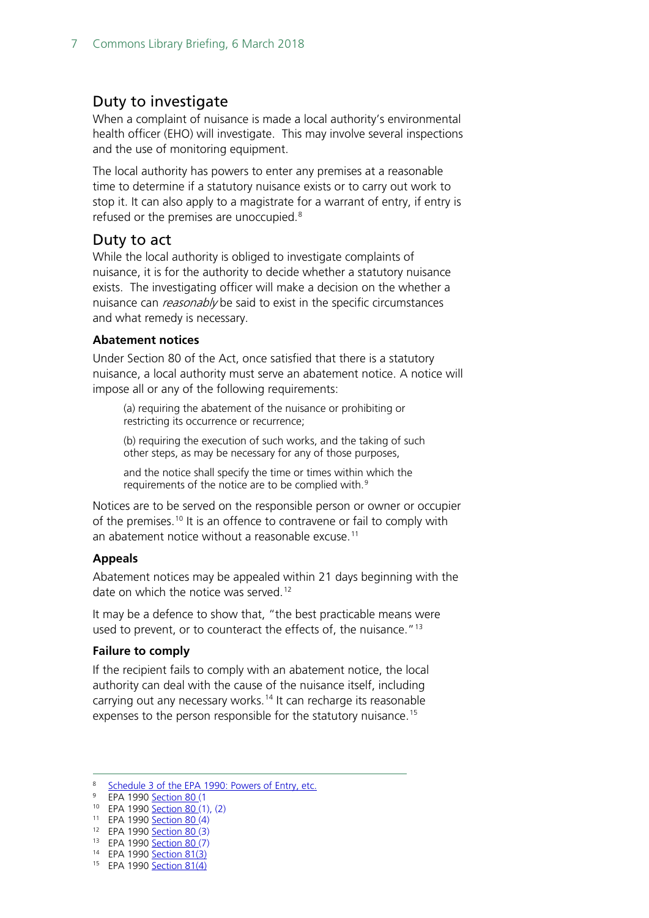#### <span id="page-6-0"></span>Duty to investigate

When a complaint of nuisance is made a local authority's environmental health officer (EHO) will investigate. This may involve several inspections and the use of monitoring equipment.

The local authority has powers to enter any premises at a reasonable time to determine if a statutory nuisance exists or to carry out work to stop it. It can also apply to a magistrate for a warrant of entry, if entry is refused or the premises are unoccupied.<sup>[8](#page-6-2)</sup>

#### <span id="page-6-1"></span>Duty to act

While the local authority is obliged to investigate complaints of nuisance, it is for the authority to decide whether a statutory nuisance exists. The investigating officer will make a decision on the whether a nuisance can *reasonably* be said to exist in the specific circumstances and what remedy is necessary.

#### **Abatement notices**

Under [Section 80](http://www.legislation.gov.uk/ukpga/1990/43/section/80) of the Act, once satisfied that there is a statutory nuisance, a local authority must serve an abatement notice. A notice will impose all or any of the following requirements:

(a) requiring the abatement of the nuisance or prohibiting or restricting its occurrence or recurrence;

(b) requiring the execution of such works, and the taking of such other steps, as may be necessary for any of those purposes,

and the notice shall specify the time or times within which the requirements of the notice are to be complied with.[9](#page-6-3)

Notices are to be served on the responsible person or owner or occupier of the premises.<sup>[10](#page-6-4)</sup> It is an offence to contravene or fail to comply with an abatement notice without a reasonable excuse.<sup>[11](#page-6-5)</sup>

#### **Appeals**

Abatement notices may be appealed within 21 days beginning with the date on which the notice was served.<sup>[12](#page-6-6)</sup>

It may be a defence to show that, "the best practicable means were used to prevent, or to counteract the effects of, the nuisance."<sup>[13](#page-6-7)</sup>

#### **Failure to comply**

If the recipient fails to comply with an abatement notice, the local authority can deal with the cause of the nuisance itself, including carrying out any necessary works.<sup>[14](#page-6-8)</sup> It can recharge its reasonable expenses to the person responsible for the statutory nuisance. [15](#page-6-9)

- <span id="page-6-6"></span><span id="page-6-5"></span>12 EPA 1990 **Section 80 (3)**
- <span id="page-6-7"></span>13 EPA 1990 [Section 80](http://www.legislation.gov.uk/ukpga/1990/43/section/80) (7) <sup>14</sup> EPA 1990 [Section 81\(](http://www.legislation.gov.uk/ukpga/1990/43/section/81)3)

<span id="page-6-9"></span><span id="page-6-8"></span><sup>15</sup> EPA 1990 [Section 81\(](http://www.legislation.gov.uk/ukpga/1990/43/section/81)4)

<span id="page-6-2"></span> <sup>8</sup> [Schedule 3 of the EPA 1990: Powers of Entry, etc.](http://www.legislation.gov.uk/ukpga/1990/43/schedule/3)

<span id="page-6-4"></span><span id="page-6-3"></span><sup>9</sup> EPA 1990 [Section 80](http://www.legislation.gov.uk/ukpga/1990/43/section/80) (1

<sup>10</sup> EPA 1990 [Section 80](http://www.legislation.gov.uk/ukpga/1990/43/section/80) (1), (2)

<sup>11</sup> EPA 1990 [Section 80](http://www.legislation.gov.uk/ukpga/1990/43/section/80) (4)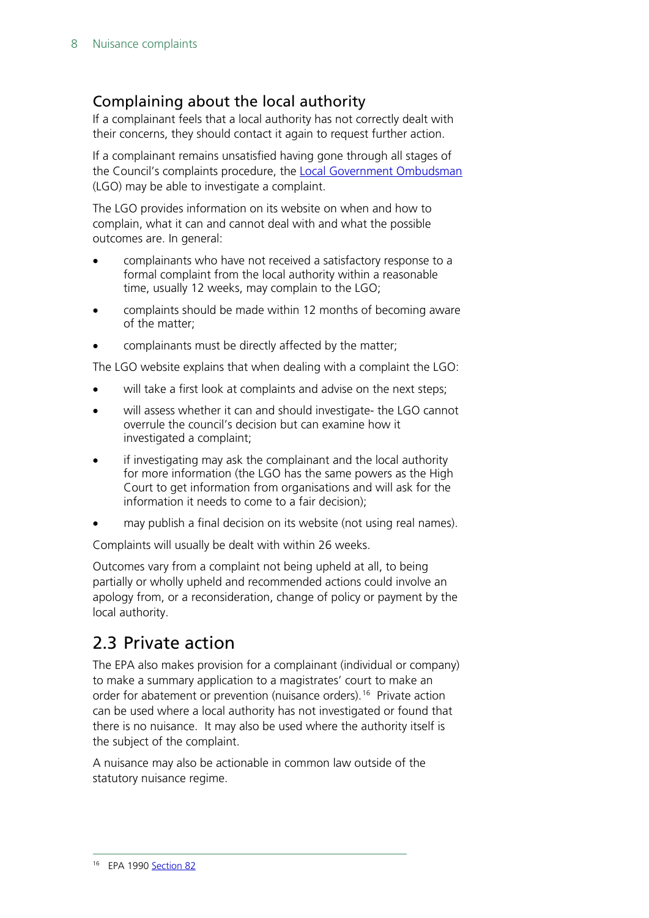#### <span id="page-7-0"></span>Complaining about the local authority

If a complainant feels that a local authority has not correctly dealt with their concerns, they should contact it again to request further action.

If a complainant remains unsatisfied having gone through all stages of the Council's complaints procedure, the [Local Government Ombudsman](http://www.lgo.org.uk/make-a-complaint) (LGO) may be able to investigate a complaint.

The LGO provides information on its website on when and how to complain, what it can and cannot deal with and what the possible outcomes are. In general:

- complainants who have not received a satisfactory response to a formal complaint from the local authority within a reasonable time, usually 12 weeks, may complain to the LGO;
- complaints should be made within 12 months of becoming aware of the matter;
- complainants must be directly affected by the matter;

The LGO website explains that when dealing with a complaint the LGO:

- will take a first look at complaints and advise on the next steps;
- will assess whether it can and should investigate- the LGO cannot overrule the council's decision but can examine how it investigated a complaint;
- if investigating may ask the complainant and the local authority for more information (the LGO has the same powers as the High Court to get information from organisations and will ask for the information it needs to come to a fair decision);
- may publish a final decision on its website (not using real names).

Complaints will usually be dealt with within 26 weeks.

Outcomes vary from a complaint not being upheld at all, to being partially or wholly upheld and recommended actions could involve an apology from, or a reconsideration, change of policy or payment by the local authority.

### <span id="page-7-1"></span>2.3 Private action

The EPA also makes provision for a complainant (individual or company) to make a summary application to a magistrates' court to make an order for abatement or prevention (nuisance orders). [16](#page-7-2) Private action can be used where a local authority has not investigated or found that there is no nuisance. It may also be used where the authority itself is the subject of the complaint.

<span id="page-7-2"></span>A nuisance may also be actionable in common law outside of the statutory nuisance regime.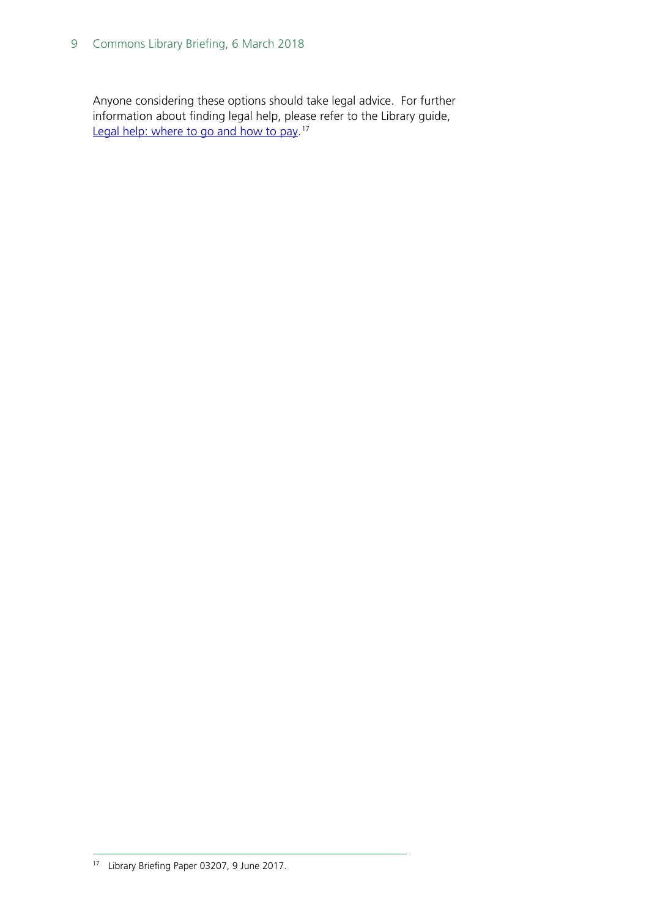Anyone considering these options should take legal advice. For further information about finding legal help, please refer to the Library guide, [Legal help: where to go and how to pay.](http://researchbriefings.parliament.uk/ResearchBriefing/Summary/SN03207)<sup>[17](#page-8-0)</sup>

<span id="page-8-0"></span> <sup>17</sup> Library Briefing Paper 03207, 9 June 2017.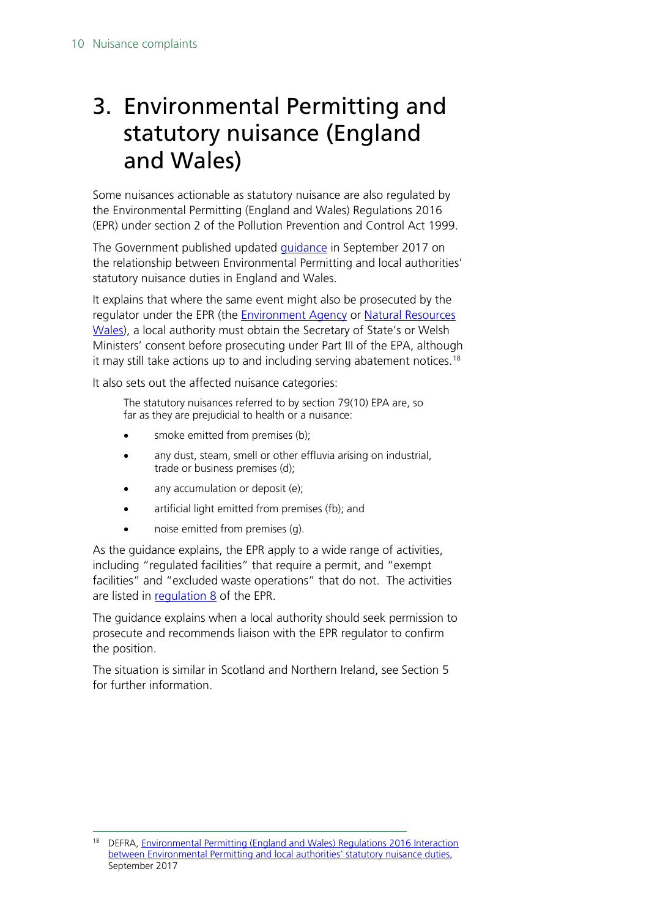# <span id="page-9-0"></span>3. Environmental Permitting and statutory nuisance (England and Wales)

Some nuisances actionable as statutory nuisance are also regulated by the Environmental Permitting (England and Wales) Regulations 2016 (EPR) under section 2 of the Pollution Prevention and Control Act 1999.

The Government published updated [guidance](https://www.gov.uk/government/uploads/system/uploads/attachment_data/file/646373/epr-statutory-nuisance-sept-2017.pdf) in September 2017 on the relationship between Environmental Permitting and local authorities' statutory nuisance duties in England and Wales.

It explains that where the same event might also be prosecuted by the regulator under the EPR (the [Environment Agency](https://www.gov.uk/government/organisations/environment-agency) or Natural Resources [Wales\)](https://naturalresources.wales/about-us/what-we-do/how-we-regulate-you/?lang=en), a local authority must obtain the Secretary of State's or Welsh Ministers' consent before prosecuting under Part III of the EPA, although it may still take actions up to and including serving abatement notices.<sup>[18](#page-9-1)</sup>

It also sets out the affected nuisance categories:

The statutory nuisances referred to by section 79(10) EPA are, so far as they are prejudicial to health or a nuisance:

- smoke emitted from premises (b);
- any dust, steam, smell or other effluvia arising on industrial, trade or business premises (d);
- any accumulation or deposit (e);
- artificial light emitted from premises (fb); and
- noise emitted from premises (g).

As the guidance explains, the EPR apply to a wide range of activities, including "regulated facilities" that require a permit, and "exempt facilities" and "excluded waste operations" that do not. The activities are listed in [regulation 8](http://www.legislation.gov.uk/uksi/2016/1154/regulation/8/made) of the EPR.

The guidance explains when a local authority should seek permission to prosecute and recommends liaison with the EPR regulator to confirm the position.

The situation is similar in Scotland and Northern Ireland, see Section 5 for further information.

<span id="page-9-1"></span><sup>&</sup>lt;sup>18</sup> DEFRA, Environmental Permitting (England and Wales) Regulations 2016 Interaction [between Environmental Permitting and local authorities' statutory nuisance duties,](https://www.gov.uk/government/uploads/system/uploads/attachment_data/file/646373/epr-statutory-nuisance-sept-2017.pdf) September 2017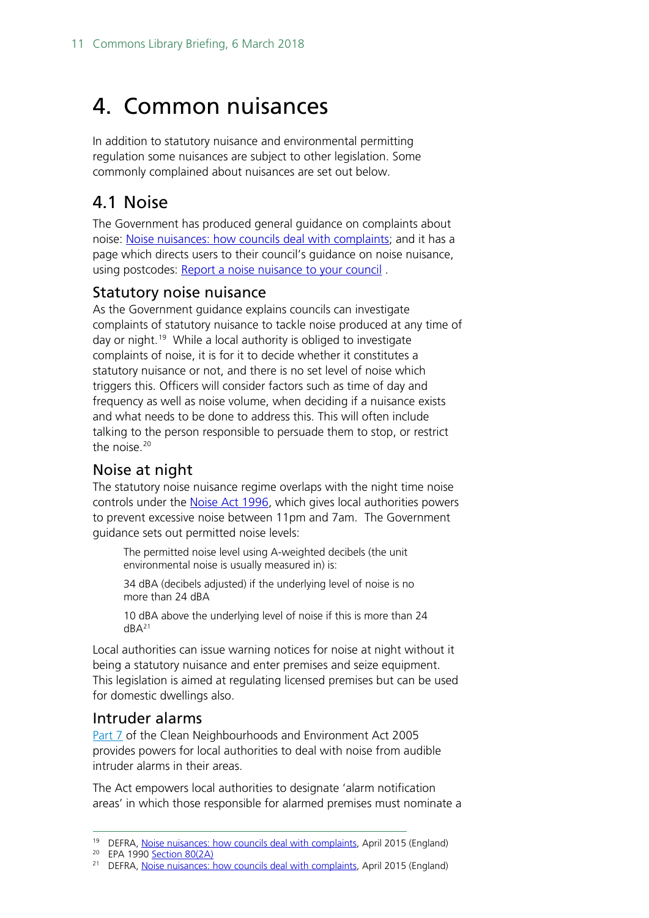# <span id="page-10-0"></span>4. Common nuisances

In addition to statutory nuisance and environmental permitting regulation some nuisances are subject to other legislation. Some commonly complained about nuisances are set out below.

### <span id="page-10-1"></span>4.1 Noise

The Government has produced general guidance on complaints about noise: [Noise nuisances: how councils deal with complaints;](https://www.gov.uk/guidance/noise-nuisances-how-councils-deal-with-complaints) and it has a page which directs users to their council's guidance on noise nuisance, using postcodes: [Report a noise nuisance to your council](https://www.gov.uk/report-noise-pollution-to-council) .

#### <span id="page-10-2"></span>Statutory noise nuisance

As the Government guidance explains councils can investigate complaints of statutory nuisance to tackle noise produced at any time of day or night.<sup>19</sup> While a local authority is obliged to investigate complaints of noise, it is for it to decide whether it constitutes a statutory nuisance or not, and there is no set level of noise which triggers this. Officers will consider factors such as time of day and frequency as well as noise volume, when deciding if a nuisance exists and what needs to be done to address this. This will often include talking to the person responsible to persuade them to stop, or restrict the noise.<sup>20</sup>

#### <span id="page-10-3"></span>Noise at night

The statutory noise nuisance regime overlaps with the night time noise controls under the [Noise Act 1996,](http://www.legislation.gov.uk/ukpga/1996/37/contents) which gives local authorities powers to prevent excessive noise between 11pm and 7am. The Government guidance sets out permitted noise levels:

The permitted noise level using A-weighted decibels (the unit environmental noise is usually measured in) is:

34 dBA (decibels adjusted) if the underlying level of noise is no more than 24 dBA

10 dBA above the underlying level of noise if this is more than 24  $dBA<sup>21</sup>$  $dBA<sup>21</sup>$  $dBA<sup>21</sup>$ 

Local authorities can issue warning notices for noise at night without it being a statutory nuisance and enter premises and seize equipment. This legislation is aimed at regulating licensed premises but can be used for domestic dwellings also.

#### <span id="page-10-4"></span>Intruder alarms

[Part 7](http://www.legislation.gov.uk/ukpga/2005/16/part/7) of the Clean Neighbourhoods and Environment Act 2005 provides powers for local authorities to deal with noise from audible intruder alarms in their areas.

The Act empowers local authorities to designate 'alarm notification areas' in which those responsible for alarmed premises must nominate a

<sup>&</sup>lt;sup>19</sup> DEFRA, [Noise nuisances: how councils deal with complaints,](https://www.gov.uk/guidance/noise-nuisances-how-councils-deal-with-complaints) April 2015 (England)

<span id="page-10-6"></span><span id="page-10-5"></span><sup>20</sup> EPA 1990 [Section 80\(](http://www.legislation.gov.uk/ukpga/1990/43/section/80)2A)

<span id="page-10-7"></span><sup>&</sup>lt;sup>21</sup> DEFRA, [Noise nuisances: how councils deal with complaints,](https://www.gov.uk/guidance/noise-nuisances-how-councils-deal-with-complaints) April 2015 (England)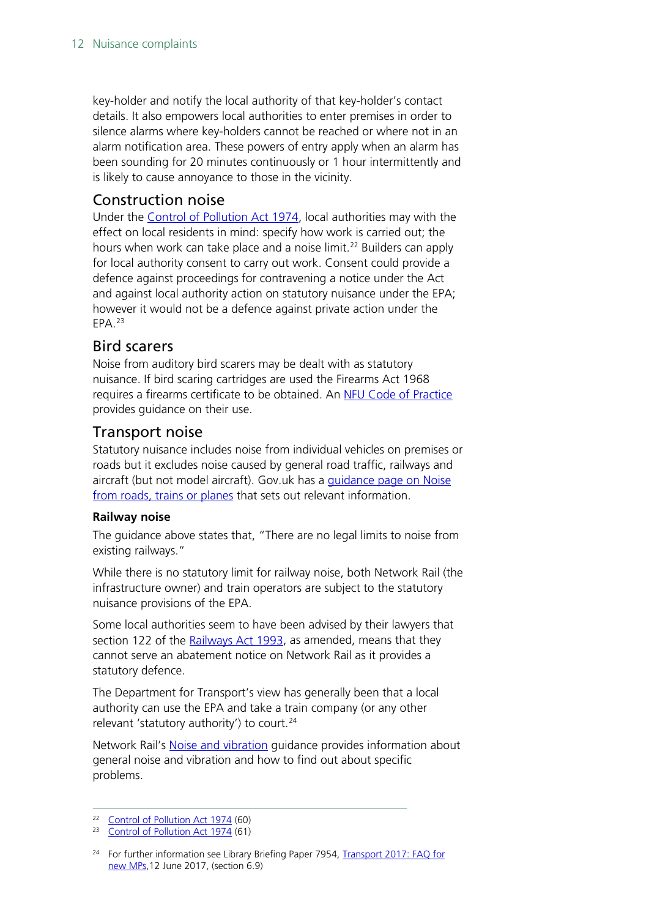key-holder and notify the local authority of that key-holder's contact details. It also empowers local authorities to enter premises in order to silence alarms where key-holders cannot be reached or where not in an alarm notification area. These powers of entry apply when an alarm has been sounding for 20 minutes continuously or 1 hour intermittently and is likely to cause annoyance to those in the vicinity.

#### <span id="page-11-0"></span>Construction noise

Under the [Control of Pollution Act 1974,](http://www.legislation.gov.uk/ukpga/1974/40/contents) local authorities may with the effect on local residents in mind: specify how work is carried out; the hours when work can take place and a noise limit.<sup>22</sup> Builders can apply for local authority consent to carry out work. Consent could provide a defence against proceedings for contravening a notice under the Act and against local authority action on statutory nuisance under the EPA; however it would not be a defence against private action under the EPA.[23](#page-11-4)

#### <span id="page-11-1"></span>Bird scarers

Noise from auditory bird scarers may be dealt with as statutory nuisance. If bird scaring cartridges are used the [Firearms Act 1968](http://enquiries.parliament.uk/Pages/FullLog.aspx?FromSearch=6b57442b454d792b6562383d&EnquiryId=556879484477594e504e413d&pageindex=53784a4230364f6758656b3d&searchorder=53784a4230364f6758656b3d) requires a firearms certificate to be obtained. An [NFU Code of Practice](https://www.nfuonline.com/assets/4662)  provides guidance on their use.

#### <span id="page-11-2"></span>Transport noise

Statutory nuisance includes noise from individual vehicles on premises or roads but it excludes noise caused by general road traffic, railways and aircraft (but not model aircraft). Gov.uk has a [guidance page on Noise](https://www.gov.uk/noise-pollution-road-train-plane/railway-noise)  [from roads, trains or planes](https://www.gov.uk/noise-pollution-road-train-plane/railway-noise) that sets out relevant information.

#### **Railway noise**

The guidance above states that, "There are no legal limits to noise from existing railways."

While there is no statutory limit for railway noise, both Network Rail (the infrastructure owner) and train operators are subject to the statutory nuisance provisions of the EPA.

Some local authorities seem to have been advised by their lawyers that section 122 of the [Railways Act 1993,](http://www.legislation.gov.uk/ukpga/1993/43/section/122) as amended, means that they cannot serve an abatement notice on Network Rail as it provides a statutory defence.

The Department for Transport's view has generally been that a local authority can use the EPA and take a train company (or any other relevant 'statutory authority') to court.<sup>[24](#page-11-5)</sup>

Network Rail's [Noise and vibration](https://www.networkrail.co.uk/communities/lineside-neighbours/noise-and-vibration/) guidance provides information about general noise and vibration and how to find out about specific problems.

<span id="page-11-3"></span> <sup>22</sup> [Control of Pollution Act 1974](http://www.legislation.gov.uk/ukpga/1974/40/part/III/crossheading/construction-sites) (60)

<span id="page-11-4"></span><sup>&</sup>lt;sup>23</sup> [Control of Pollution Act 1974](http://www.legislation.gov.uk/ukpga/1974/40/part/III/crossheading/construction-sites) (61)

<span id="page-11-5"></span><sup>&</sup>lt;sup>24</sup> For further information see Library Briefing Paper 7954, Transport 2017: FAO for [new MPs,1](https://researchbriefings.parliament.uk/ResearchBriefing/Summary/CBP-7954)2 June 2017, (section 6.9)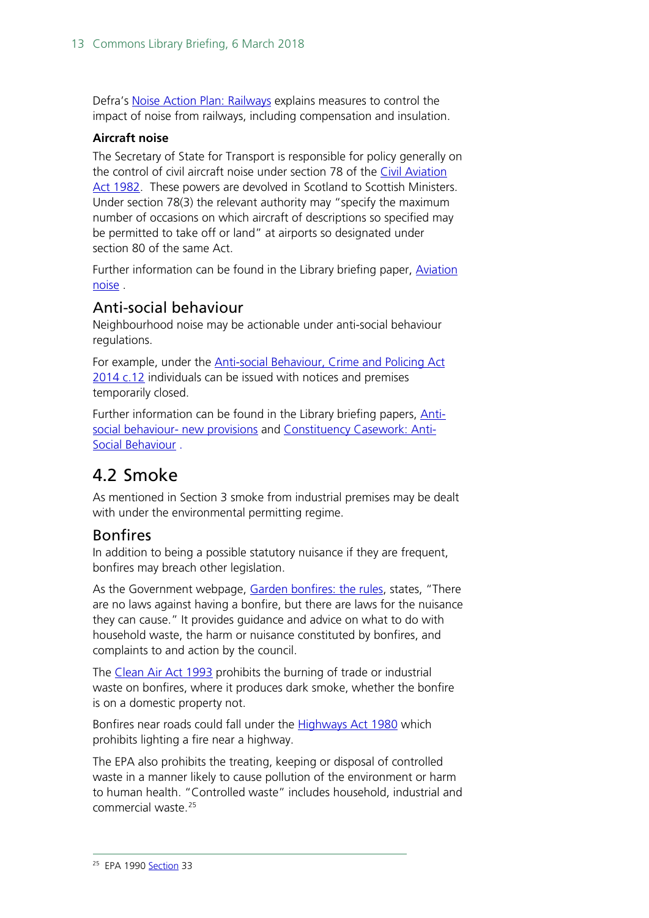Defra's [Noise Action Plan: Railways](https://www.gov.uk/government/uploads/system/uploads/attachment_data/file/276238/noise-action-plan-railways-201401.pdf) explains measures to control the impact of noise from railways, including compensation and insulation.

#### **Aircraft noise**

The Secretary of State for Transport is responsible for policy generally on the control of civil aircraft noise under section 78 of the [Civil Aviation](http://www.legislation.gov.uk/ukpga/1982/16/contents)  [Act 1982.](http://www.legislation.gov.uk/ukpga/1982/16/contents) These powers are devolved in Scotland to Scottish Ministers. Under section 78(3) the relevant authority may "specify the maximum number of occasions on which aircraft of descriptions so specified may be permitted to take off or land" at airports so designated under section 80 of the same Act.

Further information can be found in the Library briefing paper, [Aviation](http://researchbriefings.files.parliament.uk/documents/SN00261/SN00261.pdf)  [noise](http://researchbriefings.files.parliament.uk/documents/SN00261/SN00261.pdf) .

#### <span id="page-12-0"></span>Anti-social behaviour

Neighbourhood noise may be actionable under anti-social behaviour regulations.

For example, under the [Anti-social Behaviour, Crime and Policing Act](http://www.legislation.gov.uk/ukpga/2014/12)  [2014 c.12](http://www.legislation.gov.uk/ukpga/2014/12) individuals can be issued with notices and premises temporarily closed.

Further information can be found in the Library briefing papers, [Anti](http://researchbriefings.files.parliament.uk/documents/SN06950/SN06950.pdf)[social behaviour-](http://researchbriefings.files.parliament.uk/documents/SN06950/SN06950.pdf) new provisions and [Constituency Casework: Anti-](http://researchbriefings.files.parliament.uk/documents/CBP-7270/CBP-7270.pdf)[Social Behaviour](http://researchbriefings.files.parliament.uk/documents/CBP-7270/CBP-7270.pdf) .

## <span id="page-12-1"></span>4.2 Smoke

As mentioned in Section 3 smoke from industrial premises may be dealt with under the environmental permitting regime.

#### <span id="page-12-2"></span>**Bonfires**

In addition to being a possible statutory nuisance if they are frequent, bonfires may breach other legislation.

As the Government webpage, [Garden bonfires: the rules,](https://www.gov.uk/garden-bonfires-rules) states, "There are no laws against having a bonfire, but there are laws for the nuisance they can cause." It provides guidance and advice on what to do with household waste, the harm or nuisance constituted by bonfires, and complaints to and action by the council.

The [Clean Air Act 1993](http://www.legislation.gov.uk/ukpga/1993/11/contents) prohibits the burning of trade or industrial waste on bonfires, where it produces dark smoke, whether the bonfire is on a domestic property not.

Bonfires near roads could fall under the [Highways Act 1980](http://www.legislation.gov.uk/ukpga/1980/66) which prohibits lighting a fire near a highway.

<span id="page-12-3"></span>[The EPA](http://www.legislation.gov.uk/ukpga/1990/43/section/33) also prohibits the treating, keeping or disposal of controlled waste in a manner likely to cause pollution of the environment or harm to human health. "Controlled waste" includes household, industrial and commercial waste<sup>[25](#page-12-3)</sup>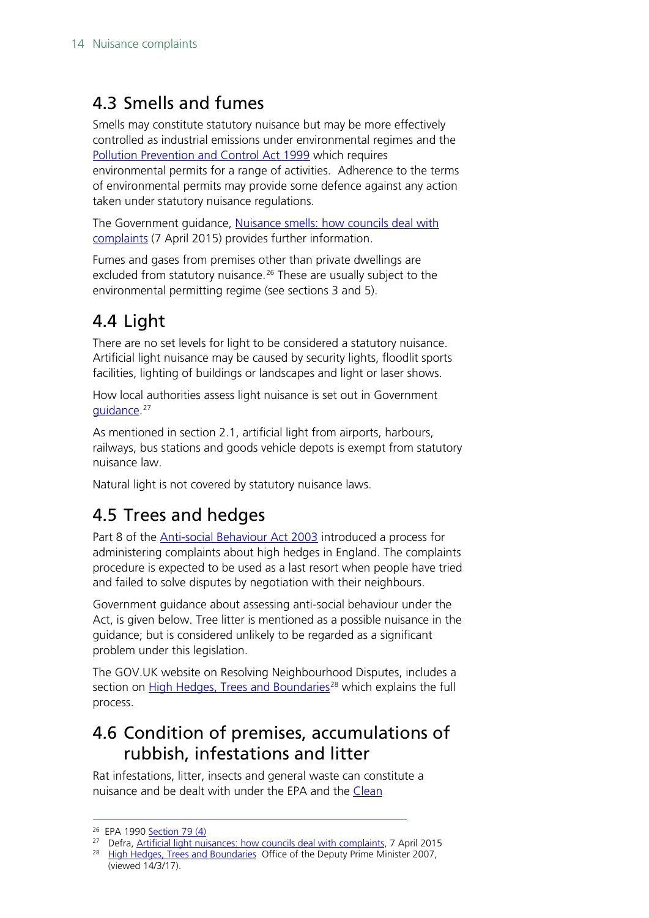# <span id="page-13-0"></span>4.3 Smells and fumes

Smells may constitute statutory nuisance but may be more effectively controlled as industrial emissions under environmental regimes and the [Pollution Prevention and Control Act 1999](http://www.legislation.gov.uk/ukpga/1999/24/contents) which requires environmental permits for a range of activities. Adherence to the terms of environmental permits may provide some defence against any action taken under statutory nuisance regulations.

The Government guidance, [Nuisance smells: how councils deal with](https://www.gov.uk/guidance/nuisance-smells-how-councils-deal-with-complaints)  [complaints](https://www.gov.uk/guidance/nuisance-smells-how-councils-deal-with-complaints) (7 April 2015) provides further information.

Fumes and gases from premises other than private dwellings are excluded from statutory nuisance.<sup>[26](#page-13-4)</sup> These are usually subject to the environmental permitting regime (see sections 3 and 5).

# <span id="page-13-1"></span>4.4 Light

There are no set levels for light to be considered a statutory nuisance. Artificial light nuisance may be caused by security lights, floodlit sports facilities, lighting of buildings or landscapes and light or laser shows.

How local authorities assess light nuisance is set out in Government [guidance.](https://www.gov.uk/guidance/artificial-light-nuisances-how-councils-deal-with-complaints)<sup>[27](#page-13-5)</sup>

As mentioned in section 2.1, artificial light from airports, harbours, railways, bus stations and goods vehicle depots is exempt from statutory nuisance law.

Natural light is not covered by statutory nuisance laws.

## <span id="page-13-2"></span>4.5 Trees and hedges

Part 8 of the [Anti-social Behaviour Act 2003](http://www.legislation.gov.uk/ukpga/2003/38/part/8) introduced a process for administering complaints about high hedges in England. The complaints procedure is expected to be used as a last resort when people have tried and failed to solve disputes by negotiation with their neighbours.

Government guidance about assessing anti-social behaviour under the Act, is given below. Tree litter is mentioned as a possible nuisance in the guidance; but is considered unlikely to be regarded as a significant problem under this legislation.

The GOV.UK website on Resolving Neighbourhood Disputes, includes a section on [High Hedges, Trees and Boundaries](https://www.gov.uk/how-to-resolve-neighbour-disputes/high-hedges-trees-and-boundaries)<sup>[28](#page-13-6)</sup> which explains the full process.

## <span id="page-13-3"></span>4.6 Condition of premises, accumulations of rubbish, infestations and litter

Rat infestations, litter, insects and general waste can constitute a nuisance and be dealt with under the EPA and the [Clean](http://www.legislation.gov.uk/ukpga/2005/16/introduction) 

<span id="page-13-4"></span> <sup>26</sup> EPA 1990 [Section 79](http://www.legislation.gov.uk/ukpga/1990/43/section/79) (4)

<span id="page-13-5"></span><sup>&</sup>lt;sup>27</sup> Defra, [Artificial light nuisances: how councils deal with complaints,](https://www.gov.uk/guidance/artificial-light-nuisances-how-councils-deal-with-complaints) 7 April 2015

<span id="page-13-6"></span><sup>&</sup>lt;sup>28</sup> [High Hedges, Trees and Boundaries](https://www.gov.uk/how-to-resolve-neighbour-disputes/high-hedges-trees-and-boundaries) Office of the Deputy Prime Minister 2007, (viewed 14/3/17).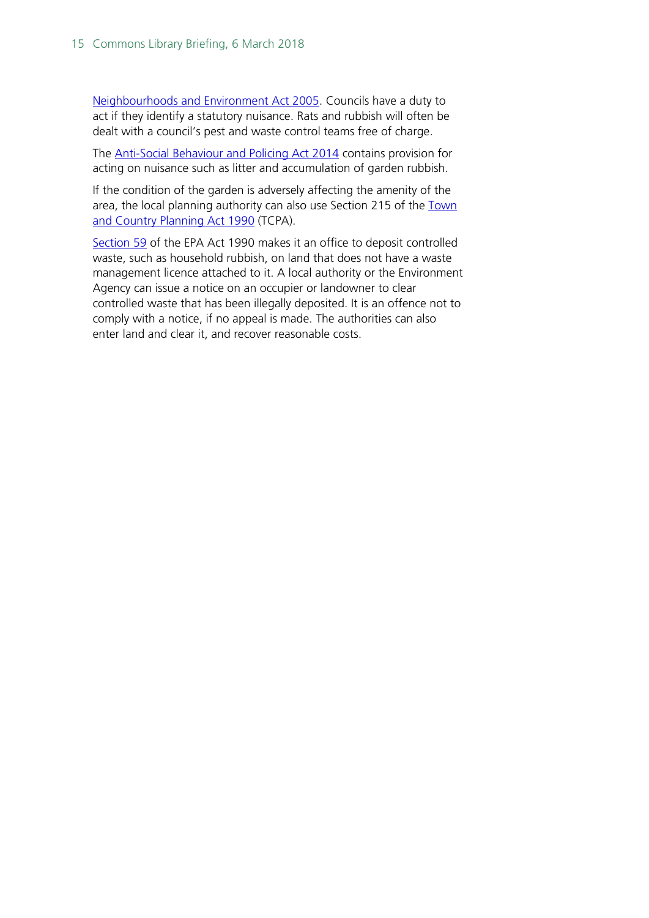[Neighbourhoods and Environment Act 2005.](http://www.legislation.gov.uk/ukpga/2005/16/introduction) Councils have a duty to act if they identify a statutory nuisance. Rats and rubbish will often be dealt with a council's pest and waste control teams free of charge.

The [Anti-Social Behaviour and Policing Act 2014](http://www.legislation.gov.uk/ukpga/2014/12/contents) contains provision for acting on nuisance such as litter and accumulation of garden rubbish.

If the condition of the garden is adversely affecting the amenity of the area, the local planning authority can also use Section 215 of the Town [and Country Planning Act 1990](http://www.legislation.gov.uk/ukpga/1990/8/contents) (TCPA).

[Section 59](http://www.legislation.gov.uk/ukpga/1990/43/section/59) of the EPA Act 1990 makes it an office to deposit controlled waste, such as household rubbish, on land that does not have a waste management licence attached to it. A local authority or the Environment Agency can issue a notice on an occupier or landowner to clear controlled waste that has been illegally deposited. It is an offence not to comply with a notice, if no appeal is made. The authorities can also enter land and clear it, and recover reasonable costs.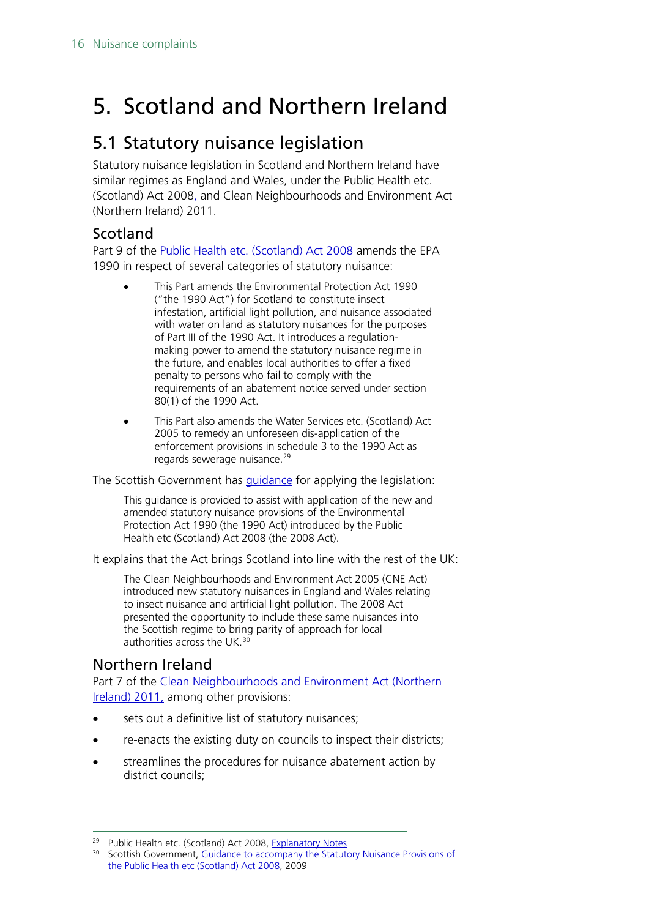# <span id="page-15-0"></span>5. Scotland and Northern Ireland

### <span id="page-15-1"></span>5.1 Statutory nuisance legislation

Statutory nuisance legislation in Scotland and Northern Ireland have similar regimes as England and Wales, under the Public Health etc. (Scotland) Act 2008, and Clean Neighbourhoods and Environment Act (Northern Ireland) 2011.

#### <span id="page-15-2"></span>Scotland

Part 9 of the [Public Health etc. \(Scotland\) Act 2008](http://www.legislation.gov.uk/asp/2008/5/contents) amends the EPA 1990 in respect of several categories of statutory nuisance:

- This Part amends the Environmental Protection Act 1990 ("the 1990 Act") for Scotland to constitute insect infestation, artificial light pollution, and nuisance associated with water on land as statutory nuisances for the purposes of Part III of the 1990 Act. It introduces a regulationmaking power to amend the statutory nuisance regime in the future, and enables local authorities to offer a fixed penalty to persons who fail to comply with the requirements of an abatement notice served under section 80(1) of the 1990 Act.
- This Part also amends the Water Services etc. (Scotland) Act 2005 to remedy an unforeseen dis-application of the enforcement provisions in schedule 3 to the 1990 Act as regards sewerage nuisance.<sup>[29](#page-15-4)</sup>

The Scottish Government has [guidance](http://www.gov.scot/resource/0039/00398242.pdf) for applying the legislation:

This guidance is provided to assist with application of the new and amended statutory nuisance provisions of the Environmental Protection Act 1990 (the 1990 Act) introduced by the Public Health etc (Scotland) Act 2008 (the 2008 Act).

It explains that the Act brings Scotland into line with the rest of the UK:

The Clean Neighbourhoods and Environment Act 2005 (CNE Act) introduced new statutory nuisances in England and Wales relating to insect nuisance and artificial light pollution. The 2008 Act presented the opportunity to include these same nuisances into the Scottish regime to bring parity of approach for local authorities across the UK. [30](#page-15-5)

#### <span id="page-15-3"></span>Northern Ireland

Part 7 of the [Clean Neighbourhoods and Environment Act \(Northern](http://www.legislation.gov.uk/nia/2011/23/part/7)  [Ireland\) 2011,](http://www.legislation.gov.uk/nia/2011/23/part/7) among other provisions:

- sets out a definitive list of statutory nuisances;
- re-enacts the existing duty on councils to inspect their districts;
- streamlines the procedures for nuisance abatement action by district councils;

<span id="page-15-4"></span><sup>&</sup>lt;sup>29</sup> Public Health etc. (Scotland) Act 2008, [Explanatory Notes](http://www.legislation.gov.uk/asp/2008/5/notes)

<span id="page-15-5"></span><sup>&</sup>lt;sup>30</sup> Scottish Government, Guidance to accompany the Statutory Nuisance Provisions of [the Public Health etc \(Scotland\) Act 2008,](http://www.gov.scot/resource/0039/00398242.pdf) 2009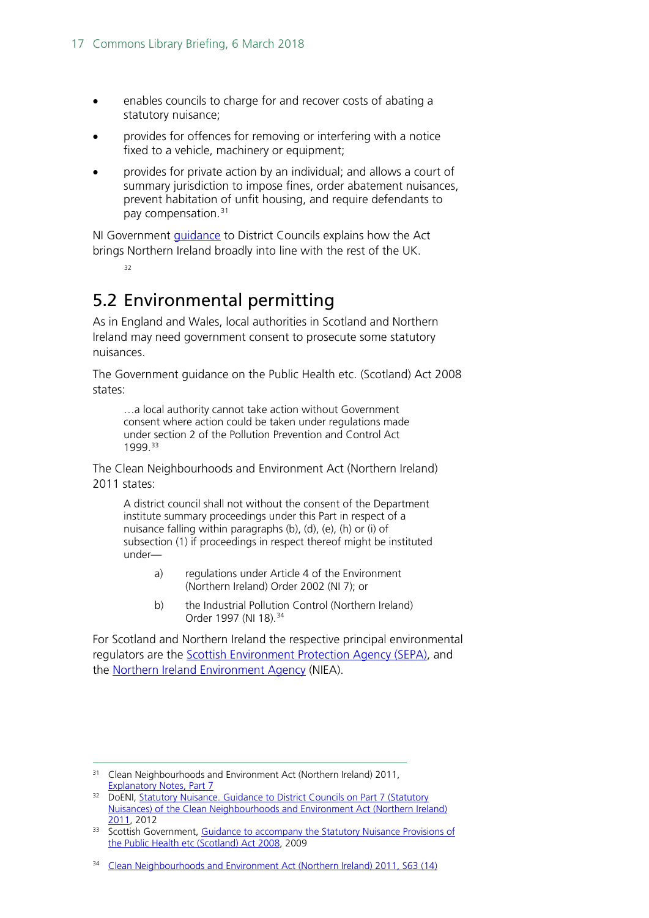- enables councils to charge for and recover costs of abating a statutory nuisance;
- provides for offences for removing or interfering with a notice fixed to a vehicle, machinery or equipment;
- provides for private action by an individual; and allows a court of summary jurisdiction to impose fines, order abatement nuisances, prevent habitation of unfit housing, and require defendants to pay compensation.<sup>[31](#page-16-1)</sup>

NI Government [guidance](https://www.daera-ni.gov.uk/sites/default/files/publications/doe/guidance-on-statutory-nuisances.pdf) to District Councils explains how the Act brings Northern Ireland broadly into line with the rest of the UK.

[32](#page-16-2)

# <span id="page-16-0"></span>5.2 Environmental permitting

As in England and Wales, local authorities in Scotland and Northern Ireland may need government consent to prosecute some statutory nuisances.

The Government guidance on the [Public Health etc. \(Scotland\) Act 2008](http://www.legislation.gov.uk/asp/2008/5/contents) states:

…a local authority cannot take action without Government consent where action could be taken under regulations made under section 2 of the Pollution Prevention and Control Act 1999.[33](#page-16-3)

The Clean Neighbourhoods and Environment Act (Northern Ireland) 2011 states:

A district council shall not without the consent of the Department institute summary proceedings under this Part in respect of a nuisance falling within paragraphs (b), (d), (e), (h) or (i) of subsection (1) if proceedings in respect thereof might be instituted under—

- a) regulations under Article 4 of the Environment (Northern Ireland) Order 2002 (NI 7); or
- b) the Industrial Pollution Control (Northern Ireland) Order 1997 (NI 18).<sup>[34](#page-16-4)</sup>

For Scotland and Northern Ireland the respective principal environmental regulators are the [Scottish Environment Protection Agency \(SEPA\),](https://www.sepa.org.uk/about-us/our-role/) and the [Northern Ireland Environment Agency](https://www.daera-ni.gov.uk/northern-ireland-environment-agency) (NIEA).

<span id="page-16-1"></span><sup>&</sup>lt;sup>31</sup> Clean Neighbourhoods and Environment Act (Northern Ireland) 2011, [Explanatory Notes, Part 7](http://www.legislation.gov.uk/nia/2011/23/notes/division/5/7)

<span id="page-16-2"></span><sup>&</sup>lt;sup>32</sup> DoENI, Statutory Nuisance. Guidance to District Councils on Part 7 (Statutory [Nuisances\) of the Clean Neighbourhoods and Environment Act \(Northern Ireland\)](https://www.daera-ni.gov.uk/sites/default/files/publications/doe/guidance-on-statutory-nuisances.pdf)  [2011,](https://www.daera-ni.gov.uk/sites/default/files/publications/doe/guidance-on-statutory-nuisances.pdf) 2012

<span id="page-16-3"></span><sup>33</sup> Scottish Government, Guidance to accompany the Statutory Nuisance Provisions of [the Public Health etc \(Scotland\) Act 2008,](http://www.gov.scot/resource/0039/00398242.pdf) 2009

<span id="page-16-4"></span><sup>&</sup>lt;sup>34</sup> [Clean Neighbourhoods and Environment Act \(Northern Ireland\) 2011, S63 \(14\)](http://www.legislation.gov.uk/nia/2011/23/section/63)